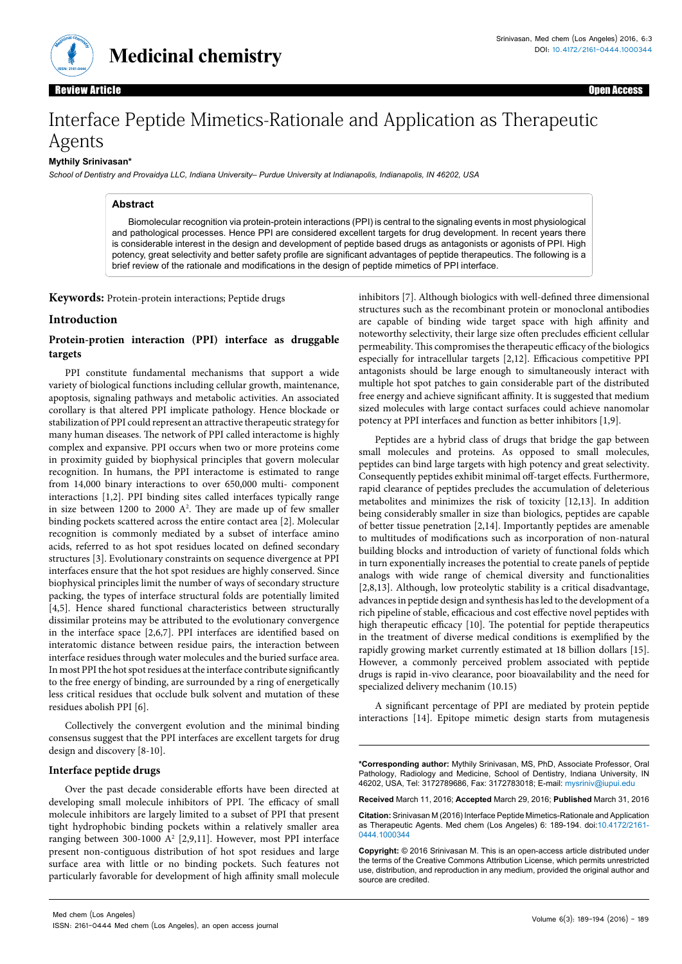

**Medicinal chemistry**

Open Access

# Interface Peptide Mimetics-Rationale and Application as Therapeutic Agents

#### **Mythily Srinivasan\***

*School of Dentistry and Provaidya LLC, Indiana University– Purdue University at Indianapolis, Indianapolis, IN 46202, USA*

#### **Abstract**

Biomolecular recognition via protein-protein interactions (PPI) is central to the signaling events in most physiological and pathological processes. Hence PPI are considered excellent targets for drug development. In recent years there is considerable interest in the design and development of peptide based drugs as antagonists or agonists of PPI. High potency, great selectivity and better safety profile are significant advantages of peptide therapeutics. The following is a brief review of the rationale and modifications in the design of peptide mimetics of PPI interface.

**Keywords:** Protein-protein interactions; Peptide drugs

### **Introduction**

#### **Protein-protien interaction (PPI) interface as druggable targets**

PPI constitute fundamental mechanisms that support a wide variety of biological functions including cellular growth, maintenance, apoptosis, signaling pathways and metabolic activities. An associated corollary is that altered PPI implicate pathology. Hence blockade or stabilization of PPI could represent an attractive therapeutic strategy for many human diseases. The network of PPI called interactome is highly complex and expansive. PPI occurs when two or more proteins come in proximity guided by biophysical principles that govern molecular recognition. In humans, the PPI interactome is estimated to range from 14,000 binary interactions to over 650,000 multi- component interactions [1,2]. PPI binding sites called interfaces typically range in size between  $1200$  to  $2000$   $A^2$ . They are made up of few smaller binding pockets scattered across the entire contact area [2]. Molecular recognition is commonly mediated by a subset of interface amino acids, referred to as hot spot residues located on defined secondary structures [3]. Evolutionary constraints on sequence divergence at PPI interfaces ensure that the hot spot residues are highly conserved. Since biophysical principles limit the number of ways of secondary structure packing, the types of interface structural folds are potentially limited [4,5]. Hence shared functional characteristics between structurally dissimilar proteins may be attributed to the evolutionary convergence in the interface space [2,6,7]. PPI interfaces are identified based on interatomic distance between residue pairs, the interaction between interface residues through water molecules and the buried surface area. In most PPI the hot spot residues at the interface contribute significantly to the free energy of binding, are surrounded by a ring of energetically less critical residues that occlude bulk solvent and mutation of these residues abolish PPI [6].

Collectively the convergent evolution and the minimal binding consensus suggest that the PPI interfaces are excellent targets for drug design and discovery [8-10].

#### **Interface peptide drugs**

Over the past decade considerable efforts have been directed at developing small molecule inhibitors of PPI. The efficacy of small molecule inhibitors are largely limited to a subset of PPI that present tight hydrophobic binding pockets within a relatively smaller area ranging between 300-1000 A<sup>2</sup> [2,9,11]. However, most PPI interface present non-contiguous distribution of hot spot residues and large surface area with little or no binding pockets. Such features not particularly favorable for development of high affinity small molecule inhibitors [7]. Although biologics with well-defined three dimensional structures such as the recombinant protein or monoclonal antibodies are capable of binding wide target space with high affinity and noteworthy selectivity, their large size often precludes efficient cellular permeability. This compromises the therapeutic efficacy of the biologics especially for intracellular targets [2,12]. Efficacious competitive PPI antagonists should be large enough to simultaneously interact with multiple hot spot patches to gain considerable part of the distributed free energy and achieve significant affinity. It is suggested that medium sized molecules with large contact surfaces could achieve nanomolar potency at PPI interfaces and function as better inhibitors [1,9].

Peptides are a hybrid class of drugs that bridge the gap between small molecules and proteins. As opposed to small molecules, peptides can bind large targets with high potency and great selectivity. Consequently peptides exhibit minimal off-target effects. Furthermore, rapid clearance of peptides precludes the accumulation of deleterious metabolites and minimizes the risk of toxicity [12,13]. In addition being considerably smaller in size than biologics, peptides are capable of better tissue penetration [2,14]. Importantly peptides are amenable to multitudes of modifications such as incorporation of non-natural building blocks and introduction of variety of functional folds which in turn exponentially increases the potential to create panels of peptide analogs with wide range of chemical diversity and functionalities [2,8,13]. Although, low proteolytic stability is a critical disadvantage, advances in peptide design and synthesis has led to the development of a rich pipeline of stable, efficacious and cost effective novel peptides with high therapeutic efficacy [10]. The potential for peptide therapeutics in the treatment of diverse medical conditions is exemplified by the rapidly growing market currently estimated at 18 billion dollars [15]. However, a commonly perceived problem associated with peptide drugs is rapid in-vivo clearance, poor bioavailability and the need for specialized delivery mechanim (10.15)

A significant percentage of PPI are mediated by protein peptide interactions [14]. Epitope mimetic design starts from mutagenesis

**\*Corresponding author:** Mythily Srinivasan, MS, PhD, Associate Professor, Oral Pathology, Radiology and Medicine, School of Dentistry, Indiana University, IN 46202, USA, Tel: 3172789686, Fax: 3172783018; E-mail: [mysriniv@iupui.edu](mailto:mysriniv@iupui.edu)

**Received** March 11, 2016; **Accepted** March 29, 2016; **Published** March 31, 2016

**Citation:** Srinivasan M (2016) Interface Peptide Mimetics-Rationale and Application as Therapeutic Agents. Med chem (Los Angeles) 6: 189-194. doi:10.4172/2161- 0444.1000344

**Copyright:** © 2016 Srinivasan M. This is an open-access article distributed under the terms of the Creative Commons Attribution License, which permits unrestricted use, distribution, and reproduction in any medium, provided the original author and source are credited.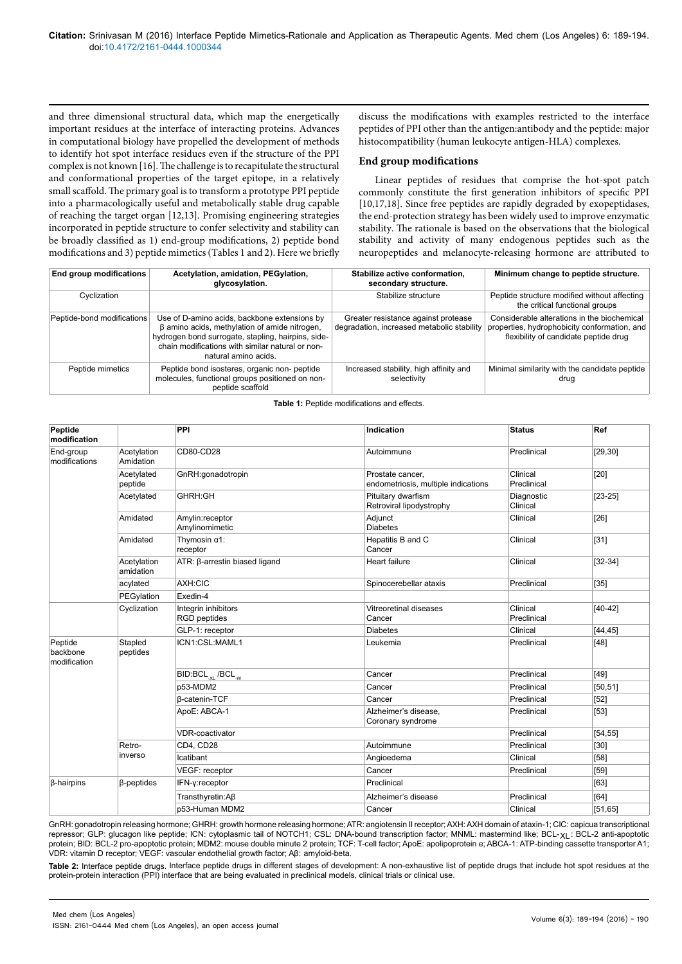and three dimensional structural data, which map the energetically important residues at the interface of interacting proteins. Advances in computational biology have propelled the development of methods to identify hot spot interface residues even if the structure of the PPI complex is not known [16]. The challenge is to recapitulate the structural and conformational properties of the target epitope, in a relatively small scaffold. The primary goal is to transform a prototype PPI peptide into a pharmacologically useful and metabolically stable drug capable of reaching the target organ [12,13]. Promising engineering strategies incorporated in peptide structure to confer selectivity and stability can be broadly classified as 1) end-group modifications, 2) peptide bond modifications and 3) peptide mimetics (Tables 1 and 2). Here we briefly

discuss the modifications with examples restricted to the interface peptides of PPI other than the antigen:antibody and the peptide: major histocompatibility (human leukocyte antigen-HLA) complexes.

#### **End group modifications**

Linear peptides of residues that comprise the hot-spot patch commonly constitute the first generation inhibitors of specific PPI [10,17,18]. Since free peptides are rapidly degraded by exopeptidases, the end-protection strategy has been widely used to improve enzymatic stability. The rationale is based on the observations that the biological stability and activity of many endogenous peptides such as the neuropeptides and melanocyte-releasing hormone are attributed to

| End group modifications    | Acetylation, amidation, PEGylation,<br>glycosylation.                                                                                                                                                                                 | Stabilize active conformation,<br>secondary structure.                            | Minimum change to peptide structure.                                                                                                 |
|----------------------------|---------------------------------------------------------------------------------------------------------------------------------------------------------------------------------------------------------------------------------------|-----------------------------------------------------------------------------------|--------------------------------------------------------------------------------------------------------------------------------------|
| Cyclization                |                                                                                                                                                                                                                                       | Stabilize structure                                                               | Peptide structure modified without affecting<br>the critical functional groups                                                       |
| Peptide-bond modifications | Use of D-amino acids, backbone extensions by<br>$\beta$ amino acids, methylation of amide nitrogen,<br>hydrogen bond surrogate, stapling, hairpins, side-<br>chain modifications with similar natural or non-<br>natural amino acids. | Greater resistance against protease<br>degradation, increased metabolic stability | Considerable alterations in the biochemical<br>properties, hydrophobicity conformation, and<br>flexibility of candidate peptide drug |
| Peptide mimetics           | Peptide bond isosteres, organic non-peptide<br>molecules, functional groups positioned on non-<br>peptide scaffold                                                                                                                    | Increased stability, high affinity and<br>selectivity                             | Minimal similarity with the candidate peptide<br>drug                                                                                |

**Table 1:** Peptide modifications and effects.

| Peptide<br>modification             |                          | PPI                                        | Indication                                              | <b>Status</b>           | Ref       |
|-------------------------------------|--------------------------|--------------------------------------------|---------------------------------------------------------|-------------------------|-----------|
| End-group<br>modifications          | Acetylation<br>Amidation | CD80-CD28                                  | Autoimmune                                              | Preclinical             | [29, 30]  |
|                                     | Acetylated<br>peptide    | GnRH:gonadotropin                          | Prostate cancer,<br>endometriosis, multiple indications | Clinical<br>Preclinical | $[20]$    |
|                                     | Acetylated               | GHRH:GH                                    | Pituitary dwarfism<br>Retroviral lipodystrophy          | Diagnostic<br>Clinical  | $[23-25]$ |
|                                     | Amidated                 | Amylin:receptor<br>Amylinomimetic          | Adjunct<br><b>Diabetes</b>                              | Clinical                | $[26]$    |
|                                     | Amidated                 | Thymosin $\alpha$ 1:<br>receptor           | Hepatitis B and C<br>Cancer                             | Clinical                | [31]      |
|                                     | Acetylation<br>amidation | ATR: β-arrestin biased ligand              | Heart failure                                           | Clinical                | $[32-34]$ |
|                                     | acylated                 | AXH:CIC                                    | Spinocerebellar ataxis                                  | Preclinical             | $[35]$    |
|                                     | PEGylation               | Exedin-4                                   |                                                         |                         |           |
|                                     | Cyclization              | Integrin inhibitors<br><b>RGD</b> peptides | Vitreoretinal diseases<br>Cancer                        | Clinical<br>Preclinical | $[40-42]$ |
|                                     |                          | GLP-1: receptor                            | <b>Diabetes</b>                                         | Clinical                | [44, 45]  |
| Peptide<br>backbone<br>modification | Stapled<br>peptides      | ICN1:CSL:MAML1                             | Leukemia                                                | Preclinical             | $[48]$    |
|                                     |                          | BID:BCL <sub>xi</sub> /BCL <sub>M</sub>    | Cancer                                                  | Preclinical             | $[49]$    |
|                                     |                          | p53-MDM2                                   | Cancer                                                  | Preclinical             | [50, 51]  |
|                                     |                          | <b>B-catenin-TCF</b>                       | Cancer                                                  | Preclinical             | $[52]$    |
|                                     |                          | ApoE: ABCA-1                               | Alzheimer's disease,<br>Coronary syndrome               | Preclinical             | $[53]$    |
|                                     |                          | <b>VDR-coactivator</b>                     |                                                         | Preclinical             | [54, 55]  |
|                                     | Retro-<br>inverso        | CD4, CD28                                  | Autoimmune                                              | Preclinical             | [30]      |
|                                     |                          | Icatibant                                  | Angioedema                                              | Clinical                | $[58]$    |
|                                     |                          | VEGF: receptor                             | Cancer                                                  | Preclinical             | $[59]$    |
| <b>ß-hairpins</b>                   | $\beta$ -peptides        | IFN-y:receptor                             | Preclinical                                             |                         | [63]      |
|                                     |                          | Transthyretin:Aß                           | Alzheimer's disease                                     | Preclinical             | [64]      |
|                                     |                          | p53-Human MDM2                             | Cancer                                                  | Clinical                | [51, 65]  |

GnRH: gonadotropin releasing hormone; GHRH: growth hormone releasing hormone; ATR: angiotensin II receptor; AXH: AXH domain of ataxin-1; CIC: capicua transcriptional repressor; GLP: glucagon like peptide; ICN: cytoplasmic tail of NOTCH1; CSL: DNA-bound transcription factor; MNML: mastermind like; BCL-XL : BCL-2 anti-apoptotic protein; BID: BCL-2 pro-apoptotic protein; MDM2: mouse double minute 2 protein; TCF: T-cell factor; ApoE: apolipoprotein e; ABCA-1: ATP-binding cassette transporter A1; VDR: vitamin D receptor; VEGF: vascular endothelial growth factor; Aβ: amyloid-beta.

**Table 2:** Interface peptide drugs. Interface peptide drugs in different stages of development: A non-exhaustive list of peptide drugs that include hot spot residues at the protein-protein interaction (PPI) interface that are being evaluated in preclinical models, clinical trials or clinical use.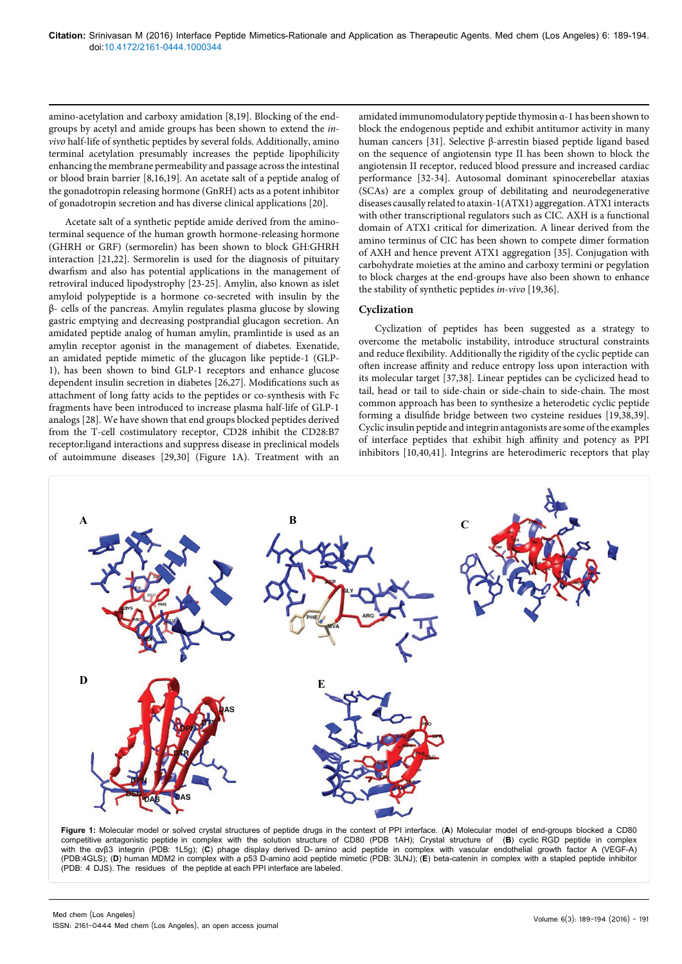amino-acetylation and carboxy amidation [8,19]. Blocking of the endgroups by acetyl and amide groups has been shown to extend the *invivo* half-life of synthetic peptides by several folds. Additionally, amino terminal acetylation presumably increases the peptide lipophilicity enhancing the membrane permeability and passage across the intestinal or blood brain barrier [8,16,19]. An acetate salt of a peptide analog of the gonadotropin releasing hormone (GnRH) acts as a potent inhibitor of gonadotropin secretion and has diverse clinical applications [20].

Acetate salt of a synthetic peptide amide derived from the aminoterminal sequence of the human growth hormone-releasing hormone (GHRH or GRF) (sermorelin) has been shown to block GH:GHRH interaction [21,22]. Sermorelin is used for the diagnosis of pituitary dwarfism and also has potential applications in the management of retroviral induced lipodystrophy [23-25]. Amylin, also known as islet amyloid polypeptide is a hormone co-secreted with insulin by the β- cells of the pancreas. Amylin regulates plasma glucose by slowing gastric emptying and decreasing postprandial glucagon secretion. An amidated peptide analog of human amylin, pramlintide is used as an amylin receptor agonist in the management of diabetes. Exenatide, an amidated peptide mimetic of the glucagon like peptide-1 (GLP-1), has been shown to bind GLP-1 receptors and enhance glucose dependent insulin secretion in diabetes [26,27]. Modifications such as attachment of long fatty acids to the peptides or co-synthesis with Fc fragments have been introduced to increase plasma half-life of GLP-1 analogs [28]. We have shown that end groups blocked peptides derived from the T-cell costimulatory receptor, CD28 inhibit the CD28:B7 receptor:ligand interactions and suppress disease in preclinical models of autoimmune diseases [29,30] (Figure 1A). Treatment with an

amidated immunomodulatory peptide thymosin α-1 has been shown to block the endogenous peptide and exhibit antitumor activity in many human cancers [31]. Selective β-arrestin biased peptide ligand based on the sequence of angiotensin type II has been shown to block the angiotensin II receptor, reduced blood pressure and increased cardiac performance [32-34]. Autosomal dominant spinocerebellar ataxias (SCAs) are a complex group of debilitating and neurodegenerative diseases causally related to ataxin-1(ATX1) aggregation. ATX1 interacts with other transcriptional regulators such as CIC. AXH is a functional domain of ATX1 critical for dimerization. A linear derived from the amino terminus of CIC has been shown to compete dimer formation of AXH and hence prevent ATX1 aggregation [35]. Conjugation with carbohydrate moieties at the amino and carboxy termini or pegylation to block charges at the end-groups have also been shown to enhance the stability of synthetic peptides *in-vivo* [19,36].

# **Cyclization**

Cyclization of peptides has been suggested as a strategy to overcome the metabolic instability, introduce structural constraints and reduce flexibility. Additionally the rigidity of the cyclic peptide can often increase affinity and reduce entropy loss upon interaction with its molecular target [37,38]. Linear peptides can be cyclicized head to tail, head or tail to side-chain or side-chain to side-chain. The most common approach has been to synthesize a heterodetic cyclic peptide forming a disulfide bridge between two cysteine residues [19,38,39]. Cyclic insulin peptide and integrin antagonists are some of the examples of interface peptides that exhibit high affinity and potency as PPI inhibitors [10,40,41]. Integrins are heterodimeric receptors that play



**Figure 1:** Molecular model or solved crystal structures of peptide drugs in the context of PPI interface. (**A**) Molecular model of end-groups blocked a CD80 competitive antagonistic peptide in complex with the solution structure of CD80 (PDB 1AH); Crystal structure of (**B**) cyclic RGD peptide in complex with the αvβ3 integrin (PDB: 1L5g); (**C**) phage display derived D- amino acid peptide in complex with vascular endothelial growth factor A (VEGF-A) (PDB:4GLS); (**D**) human MDM2 in complex with a p53 D-amino acid peptide mimetic (PDB: 3LNJ); (**E**) beta-catenin in complex with a stapled peptide inhibitor (PDB: 4 DJS). The residues of the peptide at each PPI interface are labeled.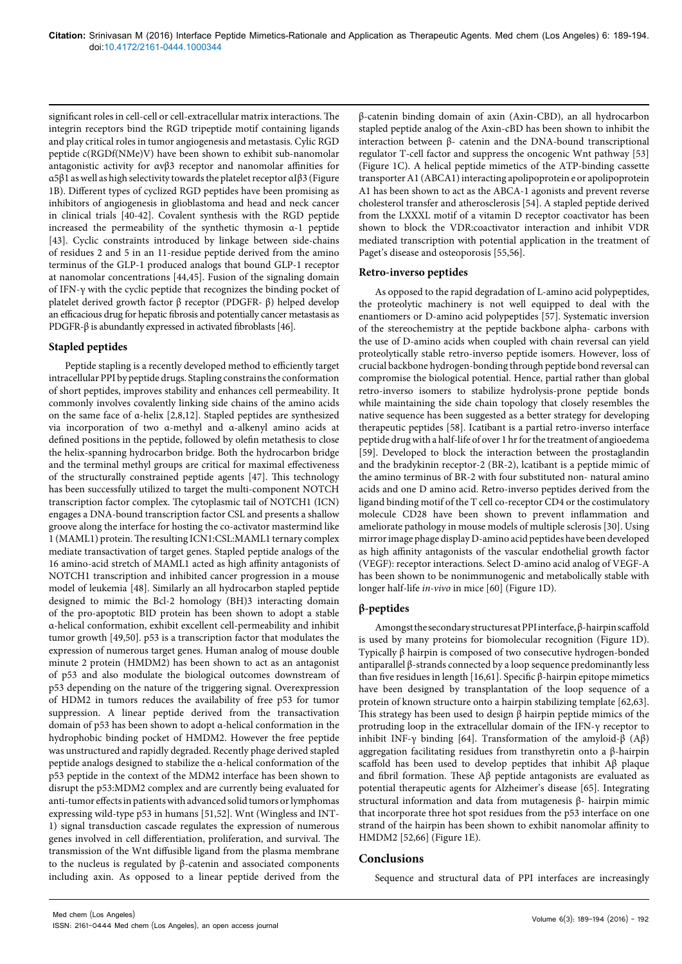significant roles in cell-cell or cell-extracellular matrix interactions. The integrin receptors bind the RGD tripeptide motif containing ligands and play critical roles in tumor angiogenesis and metastasis. Cylic RGD peptide c(RGDf(NMe)V) have been shown to exhibit sub-nanomolar antagonistic activity for αvβ3 receptor and nanomolar affinities for α5β1 as well as high selectivity towards the platelet receptor αIβ3 (Figure 1B). Different types of cyclized RGD peptides have been promising as inhibitors of angiogenesis in glioblastoma and head and neck cancer in clinical trials [40-42]. Covalent synthesis with the RGD peptide increased the permeability of the synthetic thymosin α-1 peptide [43]. Cyclic constraints introduced by linkage between side-chains of residues 2 and 5 in an 11-residue peptide derived from the amino terminus of the GLP-1 produced analogs that bound GLP-1 receptor at nanomolar concentrations [44,45]. Fusion of the signaling domain of IFN-γ with the cyclic peptide that recognizes the binding pocket of platelet derived growth factor β receptor (PDGFR- β) helped develop an efficacious drug for hepatic fibrosis and potentially cancer metastasis as PDGFR-β is abundantly expressed in activated fibroblasts [46].

# **Stapled peptides**

Peptide stapling is a recently developed method to efficiently target intracellular PPI by peptide drugs. Stapling constrains the conformation of short peptides, improves stability and enhances cell permeability. It commonly involves covalently linking side chains of the amino acids on the same face of α-helix [2,8,12]. Stapled peptides are synthesized via incorporation of two α-methyl and α-alkenyl amino acids at defined positions in the peptide, followed by olefin metathesis to close the helix-spanning hydrocarbon bridge. Both the hydrocarbon bridge and the terminal methyl groups are critical for maximal effectiveness of the structurally constrained peptide agents [47]. This technology has been successfully utilized to target the multi-component NOTCH transcription factor complex. The cytoplasmic tail of NOTCH1 (ICN) engages a DNA-bound transcription factor CSL and presents a shallow groove along the interface for hosting the co-activator mastermind like 1 (MAML1) protein. The resulting ICN1:CSL:MAML1 ternary complex mediate transactivation of target genes. Stapled peptide analogs of the 16 amino-acid stretch of MAML1 acted as high affinity antagonists of NOTCH1 transcription and inhibited cancer progression in a mouse model of leukemia [48]. Similarly an all hydrocarbon stapled peptide designed to mimic the Bcl-2 homology (BH)3 interacting domain of the pro-apoptotic BID protein has been shown to adopt a stable α-helical conformation, exhibit excellent cell-permeability and inhibit tumor growth [49,50]. p53 is a transcription factor that modulates the expression of numerous target genes. Human analog of mouse double minute 2 protein (HMDM2) has been shown to act as an antagonist of p53 and also modulate the biological outcomes downstream of p53 depending on the nature of the triggering signal. Overexpression of HDM2 in tumors reduces the availability of free p53 for tumor suppression. A linear peptide derived from the transactivation domain of p53 has been shown to adopt α-helical conformation in the hydrophobic binding pocket of HMDM2. However the free peptide was unstructured and rapidly degraded. Recently phage derived stapled peptide analogs designed to stabilize the α-helical conformation of the p53 peptide in the context of the MDM2 interface has been shown to disrupt the p53:MDM2 complex and are currently being evaluated for anti-tumor effects in patients with advanced solid tumors or lymphomas expressing wild-type p53 in humans [51,52]. Wnt (Wingless and INT-1) signal transduction cascade regulates the expression of numerous genes involved in cell differentiation, proliferation, and survival. The transmission of the Wnt diffusible ligand from the plasma membrane to the nucleus is regulated by β-catenin and associated components including axin. As opposed to a linear peptide derived from the

β-catenin binding domain of axin (Axin-CBD), an all hydrocarbon stapled peptide analog of the Axin-cBD has been shown to inhibit the interaction between β- catenin and the DNA-bound transcriptional regulator T-cell factor and suppress the oncogenic Wnt pathway [53] (Figure 1C). A helical peptide mimetics of the ATP-binding cassette transporter A1 (ABCA1) interacting apolipoprotein e or apolipoprotein A1 has been shown to act as the ABCA-1 agonists and prevent reverse cholesterol transfer and atherosclerosis [54]. A stapled peptide derived from the LXXXL motif of a vitamin D receptor coactivator has been shown to block the VDR:coactivator interaction and inhibit VDR mediated transcription with potential application in the treatment of Paget's disease and osteoporosis [55,56].

#### **Retro-inverso peptides**

As opposed to the rapid degradation of L-amino acid polypeptides, the proteolytic machinery is not well equipped to deal with the enantiomers or D-amino acid polypeptides [57]. Systematic inversion of the stereochemistry at the peptide backbone alpha- carbons with the use of D-amino acids when coupled with chain reversal can yield proteolytically stable retro-inverso peptide isomers. However, loss of crucial backbone hydrogen-bonding through peptide bond reversal can compromise the biological potential. Hence, partial rather than global retro-inverso isomers to stabilize hydrolysis-prone peptide bonds while maintaining the side chain topology that closely resembles the native sequence has been suggested as a better strategy for developing therapeutic peptides [58]. Icatibant is a partial retro-inverso interface peptide drug with a half-life of over 1 hr for the treatment of angioedema [59]. Developed to block the interaction between the prostaglandin and the bradykinin receptor-2 (BR-2), lcatibant is a peptide mimic of the amino terminus of BR-2 with four substituted non- natural amino acids and one D amino acid. Retro-inverso peptides derived from the ligand binding motif of the T cell co-receptor CD4 or the costimulatory molecule CD28 have been shown to prevent inflammation and ameliorate pathology in mouse models of multiple sclerosis [30]. Using mirror image phage display D-amino acid peptides have been developed as high affinity antagonists of the vascular endothelial growth factor (VEGF): receptor interactions. Select D-amino acid analog of VEGF-A has been shown to be nonimmunogenic and metabolically stable with longer half-life *in-vivo* in mice [60] (Figure 1D).

# **β***-***peptides**

Amongst the secondary structures at PPI interface, β-hairpin scaffold is used by many proteins for biomolecular recognition (Figure 1D). Typically β hairpin is composed of two consecutive hydrogen-bonded antiparallel β-strands connected by a loop sequence predominantly less than five residues in length [16,61]. Specific β-hairpin epitope mimetics have been designed by transplantation of the loop sequence of a protein of known structure onto a hairpin stabilizing template [62,63]. This strategy has been used to design β hairpin peptide mimics of the protruding loop in the extracellular domain of the IFN-γ receptor to inhibit INF-γ binding [64]. Transformation of the amyloid-β (Aβ) aggregation facilitating residues from transthyretin onto a β-hairpin scaffold has been used to develop peptides that inhibit  $A\beta$  plaque and fibril formation. These Aβ peptide antagonists are evaluated as potential therapeutic agents for Alzheimer's disease [65]. Integrating structural information and data from mutagenesis β- hairpin mimic that incorporate three hot spot residues from the p53 interface on one strand of the hairpin has been shown to exhibit nanomolar affinity to HMDM2 [52,66] (Figure 1E).

# **Conclusions**

Sequence and structural data of PPI interfaces are increasingly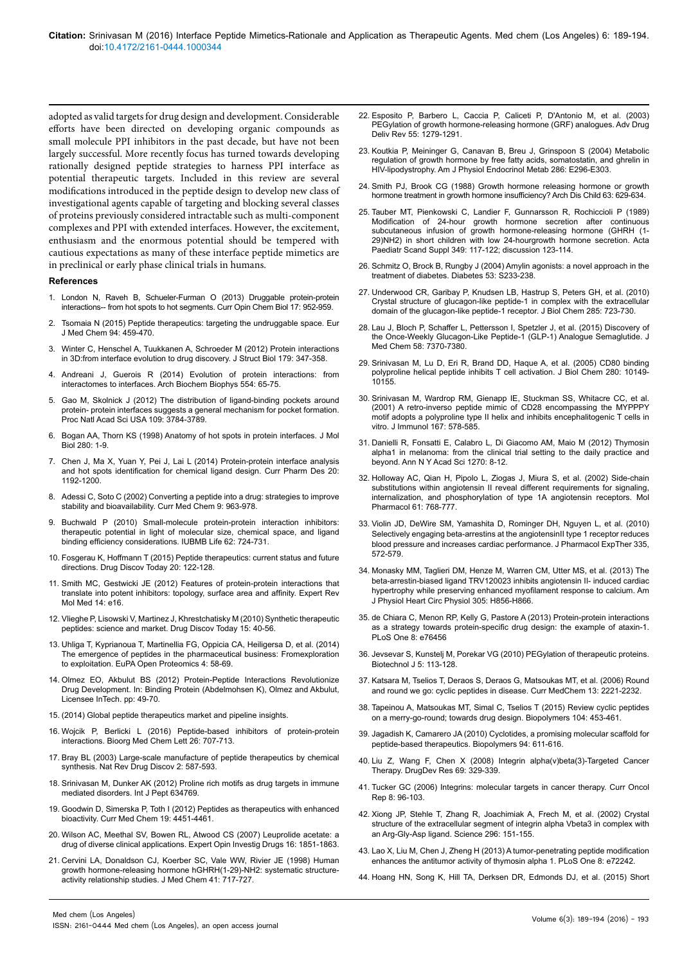adopted as valid targets for drug design and development. Considerable efforts have been directed on developing organic compounds as small molecule PPI inhibitors in the past decade, but have not been largely successful. More recently focus has turned towards developing rationally designed peptide strategies to harness PPI interface as potential therapeutic targets. Included in this review are several modifications introduced in the peptide design to develop new class of investigational agents capable of targeting and blocking several classes of proteins previously considered intractable such as multi-component complexes and PPI with extended interfaces. However, the excitement, enthusiasm and the enormous potential should be tempered with cautious expectations as many of these interface peptide mimetics are in preclinical or early phase clinical trials in humans.

#### **References**

- 1. [London N, Raveh B, Schueler-Furman O \(2013\) Druggable protein-protein](http://www.sciencedirect.com/science/article/pii/S1367593113001798) [interactions-- from hot spots to hot segments. Curr Opin Chem Biol 17: 952-959.](http://www.sciencedirect.com/science/article/pii/S1367593113001798)
- 2. [Tsomaia N \(2015\) Peptide therapeutics: targeting the undruggable space. Eur](http://www.sciencedirect.com/science/article/pii/S0223523415000343) [J Med Chem 94: 459-470.](http://www.sciencedirect.com/science/article/pii/S0223523415000343)
- 3. [Winter C, Henschel A, Tuukkanen A, Schroeder M \(2012\) Protein interactions](http://www.sciencedirect.com/science/article/pii/S1047847712001128) [in 3D:from interface evolution to drug discovery. J Struct Biol 179: 347-358.](http://www.sciencedirect.com/science/article/pii/S1047847712001128)
- [Andreani J, Guerois R \(2014\) Evolution of protein interactions: from](http://www.sciencedirect.com/science/article/pii/S0003986114001593) [interactomes to interfaces. Arch Biochem Biophys 554: 65-75.](http://www.sciencedirect.com/science/article/pii/S0003986114001593)
- 5. [Gao M, Skolnick J \(2012\) The distribution of ligand-binding pockets around](http://cssb.biology.gatech.edu/node/7181) [protein- protein interfaces suggests a general mechanism for pocket formation.](http://cssb.biology.gatech.edu/node/7181) [Proc Natl Acad Sci USA 109: 3784-3789.](http://cssb.biology.gatech.edu/node/7181)
- 6. [Bogan AA, Thorn KS \(1998\) Anatomy of hot spots in protein interfaces. J Mol](http://www.sciencedirect.com/science/article/pii/S0022283698918435) [Biol 280: 1-9.](http://www.sciencedirect.com/science/article/pii/S0022283698918435)
- 7. [Chen J, Ma X, Yuan Y, Pei J, Lai L \(2014\) Protein-protein interface analysis](http://www.ncbi.nlm.nih.gov/pubmed/23713772) [and hot spots identification for chemical ligand design. Curr Pharm Des 20:](http://www.ncbi.nlm.nih.gov/pubmed/23713772) [1192-1200.](http://www.ncbi.nlm.nih.gov/pubmed/23713772)
- 8. [Adessi C, Soto C \(2002\) Converting a peptide into a drug: strategies to improve](http://www.ncbi.nlm.nih.gov/pubmed/11966456) [stability and bioavailability. Curr Med Chem 9: 963-978.](http://www.ncbi.nlm.nih.gov/pubmed/11966456)
- 9. [Buchwald P \(2010\) Small-molecule protein-protein interaction inhibitors:](http://www.ncbi.nlm.nih.gov/pubmed/20979208) [therapeutic potential in light of molecular size, chemical space, and ligand](http://www.ncbi.nlm.nih.gov/pubmed/20979208) [binding efficiency considerations. IUBMB Life 62: 724-731.](http://www.ncbi.nlm.nih.gov/pubmed/20979208)
- 10. [Fosgerau K, Hoffmann T \(2015\) Peptide therapeutics: current status and future](http://www.sciencedirect.com/science/article/pii/S1359644614003997) [directions. Drug Discov Today 20: 122-128.](http://www.sciencedirect.com/science/article/pii/S1359644614003997)
- 11. [Smith MC, Gestwicki JE \(2012\) Features of protein-protein interactions that](http://www.ncbi.nlm.nih.gov/pubmed/22831787) [translate into potent inhibitors: topology, surface area and affinity. Expert Rev](http://www.ncbi.nlm.nih.gov/pubmed/22831787) [Mol Med 14: e16.](http://www.ncbi.nlm.nih.gov/pubmed/22831787)
- 12. [Vlieghe P, Lisowski V, Martinez J, Khrestchatisky M \(2010\) Synthetic therapeutic](http://www.ncbi.nlm.nih.gov/pubmed/19879957) [peptides: science and market. Drug Discov Today 15: 40-56.](http://www.ncbi.nlm.nih.gov/pubmed/19879957)
- 13. [Uhliga T, Kyprianoua T, Martinellia FG, Oppicia CA, Heiligersa D, et al. \(2014\)](http://www.sciencedirect.com/science/article/pii/S2212968514000361) [The emergence of peptides in the pharmaceutical business: Fromexploration](http://www.sciencedirect.com/science/article/pii/S2212968514000361) [to exploitation. EuPA Open Proteomics 4: 58-69.](http://www.sciencedirect.com/science/article/pii/S2212968514000361)
- 14. Olmez EO, Akbulut BS (2012) Protein-Peptide Interactions Revolutionize Drug Development. In: Binding Protein (Abdelmohsen K), Olmez and Akbulut, Licensee InTech. pp: 49-70.
- 15. (2014) Global peptide therapeutics market and pipeline insights.
- 16. [Wojcik P, Berlicki L \(2016\) Peptide-based inhibitors of protein-protein](http://www.ncbi.nlm.nih.gov/pubmed/26764190) [interactions. Bioorg Med Chem Lett 26: 707-713.](http://www.ncbi.nlm.nih.gov/pubmed/26764190)
- 17. [Bray BL \(2003\) Large-scale manufacture of peptide therapeutics by chemical](http://www.ncbi.nlm.nih.gov/pubmed/12815383) [synthesis. Nat Rev Drug Discov 2: 587-593.](http://www.ncbi.nlm.nih.gov/pubmed/12815383)
- 18. [Srinivasan M, Dunker AK \(2012\) Proline rich motifs as drug targets in immune](http://www.hindawi.com/journals/ijpep/2012/634769/) [mediated disorders. Int J Pept 634769.](http://www.hindawi.com/journals/ijpep/2012/634769/)
- 19. [Goodwin D, Simerska P, Toth I \(2012\) Peptides as therapeutics with enhanced](http://www.ncbi.nlm.nih.gov/pubmed/22830348) [bioactivity. Curr Med Chem 19: 4451-4461.](http://www.ncbi.nlm.nih.gov/pubmed/22830348)
- 20. [Wilson AC, Meethal SV, Bowen RL, Atwood CS \(2007\) Leuprolide acetate: a](http://www.ncbi.nlm.nih.gov/pubmed/17970643) [drug of diverse clinical applications. Expert Opin Investig Drugs 16: 1851-1863.](http://www.ncbi.nlm.nih.gov/pubmed/17970643)
- 21. [Cervini LA, Donaldson CJ, Koerber SC, Vale WW, Rivier JE \(1998\) Human](http://www.pubpdf.com/pub/9513600/Human-growth-hormone-releasing-hormone-hGHRH1-29-NH2-systematic-structure-activity-relationship-stud) [growth hormone-releasing hormone hGHRH\(1-29\)-NH2: systematic structure](http://www.pubpdf.com/pub/9513600/Human-growth-hormone-releasing-hormone-hGHRH1-29-NH2-systematic-structure-activity-relationship-stud)[activity relationship studies. J Med Chem 41: 717-727.](http://www.pubpdf.com/pub/9513600/Human-growth-hormone-releasing-hormone-hGHRH1-29-NH2-systematic-structure-activity-relationship-stud)
- 22. [Esposito P, Barbero L, Caccia P, Caliceti P, D'Antonio M, et al. \(2003\)](http://www.ncbi.nlm.nih.gov/pubmed/14499707)  [PEGylation of growth hormone-releasing hormone \(GRF\) analogues. Adv Drug](http://www.ncbi.nlm.nih.gov/pubmed/14499707)  [Deliv Rev 55: 1279-1291.](http://www.ncbi.nlm.nih.gov/pubmed/14499707)
- 23. [Koutkia P, Meininger G, Canavan B, Breu J, Grinspoon S \(2004\) Metabolic](http://www.ncbi.nlm.nih.gov/pubmed/14559725)  [regulation of growth hormone by free fatty acids, somatostatin, and ghrelin in](http://www.ncbi.nlm.nih.gov/pubmed/14559725)  [HIV-lipodystrophy. Am J Physiol Endocrinol Metab 286: E296-E303.](http://www.ncbi.nlm.nih.gov/pubmed/14559725)
- 24. [Smith PJ, Brook CG \(1988\) Growth hormone releasing hormone or growth](http://www.ncbi.nlm.nih.gov/pubmed/2898924)  [hormone treatment in growth hormone insufficiency? Arch Dis Child 63: 629-634.](http://www.ncbi.nlm.nih.gov/pubmed/2898924)
- 25. [Tauber MT, Pienkowski C, Landier F, Gunnarsson R, Rochiccioli P \(1989\)](http://onlinelibrary.wiley.com/doi/10.1111/j.1651-2227.1989.tb17182.x/abstract)  [Modification of 24-hour growth hormone secretion after continuous](http://onlinelibrary.wiley.com/doi/10.1111/j.1651-2227.1989.tb17182.x/abstract)  [subcutaneous infusion of growth hormone-releasing hormone \(GHRH \(1-](http://onlinelibrary.wiley.com/doi/10.1111/j.1651-2227.1989.tb17182.x/abstract) [29\)NH2\) in short children with low 24-hourgrowth hormone secretion. Acta](http://onlinelibrary.wiley.com/doi/10.1111/j.1651-2227.1989.tb17182.x/abstract)  [Paediatr Scand Suppl 349: 117-122; discussion 123-114.](http://onlinelibrary.wiley.com/doi/10.1111/j.1651-2227.1989.tb17182.x/abstract)
- 26. [Schmitz O, Brock B, Rungby J \(2004\) Amylin agonists: a novel approach in the](http://www.ncbi.nlm.nih.gov/pubmed/15561917)  [treatment of diabetes. Diabetes 53: S233-238.](http://www.ncbi.nlm.nih.gov/pubmed/15561917)
- 27. [Underwood CR, Garibay P, Knudsen LB, Hastrup S, Peters GH, et al. \(2010\)](http://www.ncbi.nlm.nih.gov/pubmed/19861722)  [Crystal structure of glucagon-like peptide-1 in complex with the extracellular](http://www.ncbi.nlm.nih.gov/pubmed/19861722)  [domain of the glucagon-like peptide-1 receptor. J Biol Chem 285: 723-730.](http://www.ncbi.nlm.nih.gov/pubmed/19861722)
- 28. [Lau J, Bloch P, Schaffer L, Pettersson I, Spetzler J, et al. \(2015\) Discovery of](http://pubs.acs.org/doi/abs/10.1021/acs.jmedchem.5b00726)  [the Once-Weekly Glucagon-Like Peptide-1 \(GLP-1\) Analogue Semaglutide. J](http://pubs.acs.org/doi/abs/10.1021/acs.jmedchem.5b00726)  [Med Chem 58: 7370-7380.](http://pubs.acs.org/doi/abs/10.1021/acs.jmedchem.5b00726)
- 29. [Srinivasan M, Lu D, Eri R, Brand DD, Haque A, et al. \(2005\) CD80 binding](http://www.ncbi.nlm.nih.gov/pubmed/15598660)  [polyproline helical peptide inhibits T cell activation. J Biol Chem 280: 10149-](http://www.ncbi.nlm.nih.gov/pubmed/15598660) [10155.](http://www.ncbi.nlm.nih.gov/pubmed/15598660)
- 30. [Srinivasan M, Wardrop RM, Gienapp IE, Stuckman SS, Whitacre CC, et al.](https://uncch.pure.elsevier.com/en/publications/a-retro-inverso-peptide-mimic-of-cd28-encompassing-the-mypppy-mot)  [\(2001\) A retro-inverso peptide mimic of CD28 encompassing the MYPPPY](https://uncch.pure.elsevier.com/en/publications/a-retro-inverso-peptide-mimic-of-cd28-encompassing-the-mypppy-mot)  [motif adopts a polyproline type II helix and inhibits encephalitogenic T cells in](https://uncch.pure.elsevier.com/en/publications/a-retro-inverso-peptide-mimic-of-cd28-encompassing-the-mypppy-mot)  [vitro. J Immunol 167: 578-585.](https://uncch.pure.elsevier.com/en/publications/a-retro-inverso-peptide-mimic-of-cd28-encompassing-the-mypppy-mot)
- 31. [Danielli R, Fonsatti E, Calabro L, Di Giacomo AM, Maio M \(2012\) Thymosin](http://www.ncbi.nlm.nih.gov/pubmed/23050811)  [alpha1 in melanoma: from the clinical trial setting to the daily practice and](http://www.ncbi.nlm.nih.gov/pubmed/23050811)  [beyond. Ann N Y Acad Sci 1270: 8-12.](http://www.ncbi.nlm.nih.gov/pubmed/23050811)
- 32. [Holloway AC, Qian H, Pipolo L, Ziogas J, Miura S, et al. \(2002\) Side-chain](http://www.ncbi.nlm.nih.gov/pubmed/11901215)  [substitutions within angiotensin II reveal different requirements for signaling,](http://www.ncbi.nlm.nih.gov/pubmed/11901215)  [internalization, and phosphorylation of type 1A angiotensin receptors. Mol](http://www.ncbi.nlm.nih.gov/pubmed/11901215)  [Pharmacol 61: 768-777.](http://www.ncbi.nlm.nih.gov/pubmed/11901215)
- 33. [Violin JD, DeWire SM, Yamashita D, Rominger DH, Nguyen L, et al. \(2010\)](http://www.ncbi.nlm.nih.gov/pubmed/20801892)  Selectively engaging beta-arrestins at the angiotensinII type 1 receptor reduces [blood pressure and increases cardiac performance. J Pharmacol ExpTher 335,](http://www.ncbi.nlm.nih.gov/pubmed/20801892)  [572-579.](http://www.ncbi.nlm.nih.gov/pubmed/20801892)
- 34. [Monasky MM, Taglieri DM, Henze M, Warren CM, Utter MS, et al. \(2013\) The](http://www.ncbi.nlm.nih.gov/pubmed/23873795)  [beta-arrestin-biased ligand TRV120023 inhibits angiotensin II- induced cardiac](http://www.ncbi.nlm.nih.gov/pubmed/23873795)  [hypertrophy while preserving enhanced myofilament response to calcium. Am](http://www.ncbi.nlm.nih.gov/pubmed/23873795)  [J Physiol Heart Circ Physiol 305: H856-H866.](http://www.ncbi.nlm.nih.gov/pubmed/23873795)
- 35. [de Chiara C, Menon RP, Kelly G, Pastore A \(2013\) Protein-protein interactions](http://www.ncbi.nlm.nih.gov/pubmed/24155902)  [as a strategy towards protein-specific drug design: the example of ataxin-1.](http://www.ncbi.nlm.nih.gov/pubmed/24155902)  [PLoS One 8: e76456](http://www.ncbi.nlm.nih.gov/pubmed/24155902)
- 36. [Jevsevar S, Kunstelj M, Porekar VG \(2010\) PEGylation of therapeutic proteins.](http://www.ncbi.nlm.nih.gov/pubmed/20069580)  [Biotechnol J 5: 113-128.](http://www.ncbi.nlm.nih.gov/pubmed/20069580)
- 37. [Katsara M, Tselios T, Deraos S, Deraos G, Matsoukas MT, et al. \(2006\) Round](http://www.ncbi.nlm.nih.gov/pubmed/16918350)  [and round we go: cyclic peptides in disease. Curr MedChem 13: 2221-2232.](http://www.ncbi.nlm.nih.gov/pubmed/16918350)
- 38. [Tapeinou A, Matsoukas MT, Simal C, Tselios T \(2015\) Review cyclic peptides](http://www.ncbi.nlm.nih.gov/pubmed/25968458)  [on a merry-go-round; towards drug design. Biopolymers 104: 453-461.](http://www.ncbi.nlm.nih.gov/pubmed/25968458)
- 39. [Jagadish K, Camarero JA \(2010\) Cyclotides, a promising molecular scaffold for](http://www.ncbi.nlm.nih.gov/pubmed/20564025)  [peptide-based therapeutics. Biopolymers 94: 611-616.](http://www.ncbi.nlm.nih.gov/pubmed/20564025)
- 40. [Liu Z, Wang F, Chen X \(2008\) Integrin alpha\(v\)beta\(3\)-Targeted Cancer](http://www.ncbi.nlm.nih.gov/pubmed/20628538)  [Therapy. DrugDev Res 69: 329-339.](http://www.ncbi.nlm.nih.gov/pubmed/20628538)
- 41. [Tucker GC \(2006\) Integrins: molecular targets in cancer therapy. Curr Oncol](http://link.springer.com/article/10.1007%2Fs11912-006-0043-3)  [Rep 8: 96-103.](http://link.springer.com/article/10.1007%2Fs11912-006-0043-3)
- 42. [Xiong JP, Stehle T, Zhang R, Joachimiak A, Frech M, et al. \(2002\) Crystal](http://www.ncbi.nlm.nih.gov/pubmed/11884718)  [structure of the extracellular segment of integrin alpha Vbeta3 in complex with](http://www.ncbi.nlm.nih.gov/pubmed/11884718)  [an Arg-Gly-Asp ligand. Science 296: 151-155.](http://www.ncbi.nlm.nih.gov/pubmed/11884718)
- 43. [Lao X, Liu M, Chen J, Zheng H \(2013\) A tumor-penetrating peptide modification](http://www.ncbi.nlm.nih.gov/pubmed/23977262)  [enhances the antitumor activity of thymosin alpha 1. PLoS One 8: e72242.](http://www.ncbi.nlm.nih.gov/pubmed/23977262)
- 44. [Hoang HN, Song K, Hill TA, Derksen DR, Edmonds DJ, et al. \(2015\) Short](http://pubs.acs.org/doi/abs/10.1021/acs.jmedchem.5b00166)